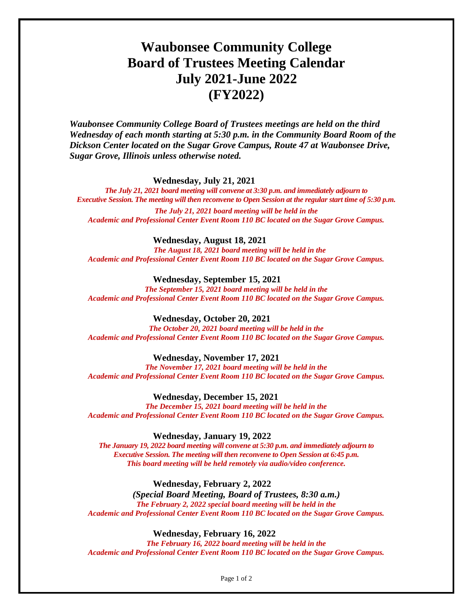## **Waubonsee Community College Board of Trustees Meeting Calendar July 2021-June 2022 (FY2022)**

*Waubonsee Community College Board of Trustees meetings are held on the third Wednesday of each month starting at 5:30 p.m. in the Community Board Room of the Dickson Center located on the Sugar Grove Campus, Route 47 at Waubonsee Drive, Sugar Grove, Illinois unless otherwise noted.* 

**Wednesday, July 21, 2021** 

*The July 21, 2021 board meeting will convene at 3:30 p.m. and immediately adjourn to Executive Session. The meeting will then reconvene to Open Session at the regular start time of 5:30 p.m.*

*The July 21, 2021 board meeting will be held in the Academic and Professional Center Event Room 110 BC located on the Sugar Grove Campus.*

**Wednesday, August 18, 2021** 

*The August 18, 2021 board meeting will be held in the Academic and Professional Center Event Room 110 BC located on the Sugar Grove Campus.*

**Wednesday, September 15, 2021**

*The September 15, 2021 board meeting will be held in the Academic and Professional Center Event Room 110 BC located on the Sugar Grove Campus.*

**Wednesday, October 20, 2021**

*The October 20, 2021 board meeting will be held in the Academic and Professional Center Event Room 110 BC located on the Sugar Grove Campus.*

**Wednesday, November 17, 2021**

*The November 17, 2021 board meeting will be held in the Academic and Professional Center Event Room 110 BC located on the Sugar Grove Campus.*

**Wednesday, December 15, 2021**

*The December 15, 2021 board meeting will be held in the Academic and Professional Center Event Room 110 BC located on the Sugar Grove Campus.*

**Wednesday, January 19, 2022**

*The January 19, 2022 board meeting will convene at 5:30 p.m. and immediately adjourn to Executive Session. The meeting will then reconvene to Open Session at 6:45 p.m. This board meeting will be held remotely via audio/video conference.*

**Wednesday, February 2, 2022**

*(Special Board Meeting, Board of Trustees, 8:30 a.m.) The February 2, 2022 special board meeting will be held in the Academic and Professional Center Event Room 110 BC located on the Sugar Grove Campus.*

**Wednesday, February 16, 2022**

*The February 16, 2022 board meeting will be held in the Academic and Professional Center Event Room 110 BC located on the Sugar Grove Campus.*